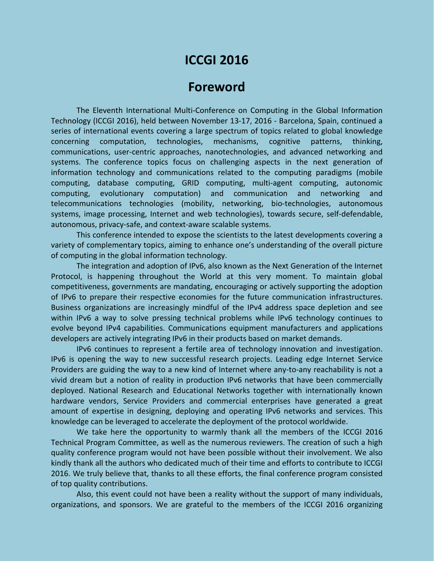# **ICCGI 2016**

# **Foreword**

The Eleventh International Multi-Conference on Computing in the Global Information Technology (ICCGI 2016), held between November 13-17, 2016 - Barcelona, Spain, continued a series of international events covering a large spectrum of topics related to global knowledge concerning computation, technologies, mechanisms, cognitive patterns, thinking, communications, user-centric approaches, nanotechnologies, and advanced networking and systems. The conference topics focus on challenging aspects in the next generation of information technology and communications related to the computing paradigms (mobile computing, database computing, GRID computing, multi-agent computing, autonomic computing, evolutionary computation) and communication and networking and telecommunications technologies (mobility, networking, bio-technologies, autonomous systems, image processing, Internet and web technologies), towards secure, self-defendable, autonomous, privacy-safe, and context-aware scalable systems.

This conference intended to expose the scientists to the latest developments covering a variety of complementary topics, aiming to enhance one's understanding of the overall picture of computing in the global information technology.

The integration and adoption of IPv6, also known as the Next Generation of the Internet Protocol, is happening throughout the World at this very moment. To maintain global competitiveness, governments are mandating, encouraging or actively supporting the adoption of IPv6 to prepare their respective economies for the future communication infrastructures. Business organizations are increasingly mindful of the IPv4 address space depletion and see within IPv6 a way to solve pressing technical problems while IPv6 technology continues to evolve beyond IPv4 capabilities. Communications equipment manufacturers and applications developers are actively integrating IPv6 in their products based on market demands.

IPv6 continues to represent a fertile area of technology innovation and investigation. IPv6 is opening the way to new successful research projects. Leading edge Internet Service Providers are guiding the way to a new kind of Internet where any-to-any reachability is not a vivid dream but a notion of reality in production IPv6 networks that have been commercially deployed. National Research and Educational Networks together with internationally known hardware vendors, Service Providers and commercial enterprises have generated a great amount of expertise in designing, deploying and operating IPv6 networks and services. This knowledge can be leveraged to accelerate the deployment of the protocol worldwide.

We take here the opportunity to warmly thank all the members of the ICCGI 2016 Technical Program Committee, as well as the numerous reviewers. The creation of such a high quality conference program would not have been possible without their involvement. We also kindly thank all the authors who dedicated much of their time and efforts to contribute to ICCGI 2016. We truly believe that, thanks to all these efforts, the final conference program consisted of top quality contributions.

Also, this event could not have been a reality without the support of many individuals, organizations, and sponsors. We are grateful to the members of the ICCGI 2016 organizing